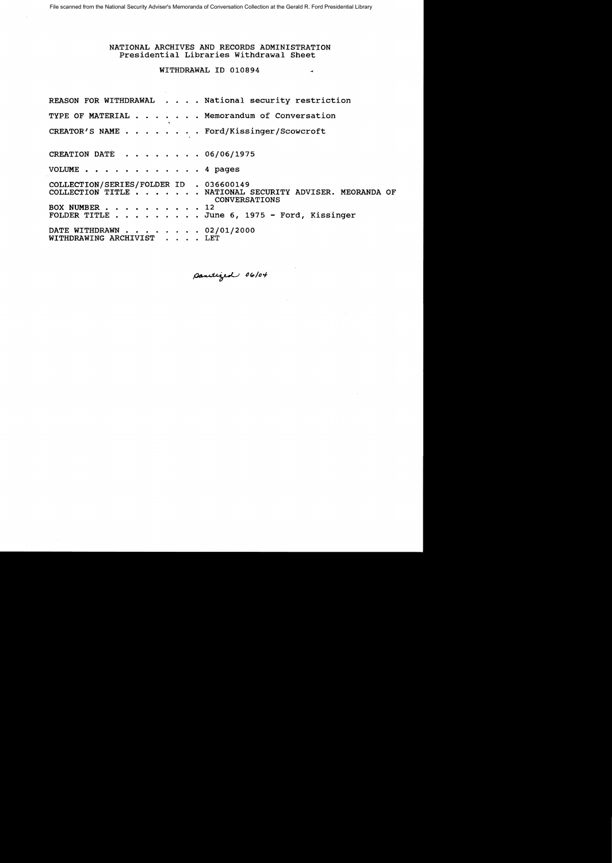File scanned from the National Security Adviser's Memoranda of Conversation Collection at the Gerald R. Ford Presidential Library

#### NATIONAL ARCHIVES AND RECORDS ADMINISTRATION Presidential Libraries Withdrawal Sheet

 $\overline{a}$ 

WITHDRAWAL ID 010894

REASON FOR WITHDRAWAL . . . . National security restriction TYPE OF MATERIAL . . . . . . Memorandum of Conversation CREATOR'S NAME . . . . . . . . Ford/Kissinger/Scowcroft CREATION DATE  $\ldots$   $\ldots$   $\ldots$  06/06/1975 VOLUME. . . . . · 4 pages COLLECTION/SERIES/FOLDER ID . 036600149 COLLECTION/SERIES/FOLDER ID . 036600149<br>COLLECTION TITLE . . . . . . NATIONAL SECURITY ADVISER. MEORANDA OF BOX NUMBER . . . . . . . . . . 12 CONVERSATIONS CONVERSATIONS<br>FOLDER TITLE . . . . . . . . . June 6, 1975 - Ford, Kissinger<br>FOLDER TITLE . . . . . . . . June 6, 1975 - Ford, Kissinger DATE WITHDRAWN . . . . . . . 02/01/2000 WITHDRAWING ARCHIVIST . . . . LET

parelized 06/04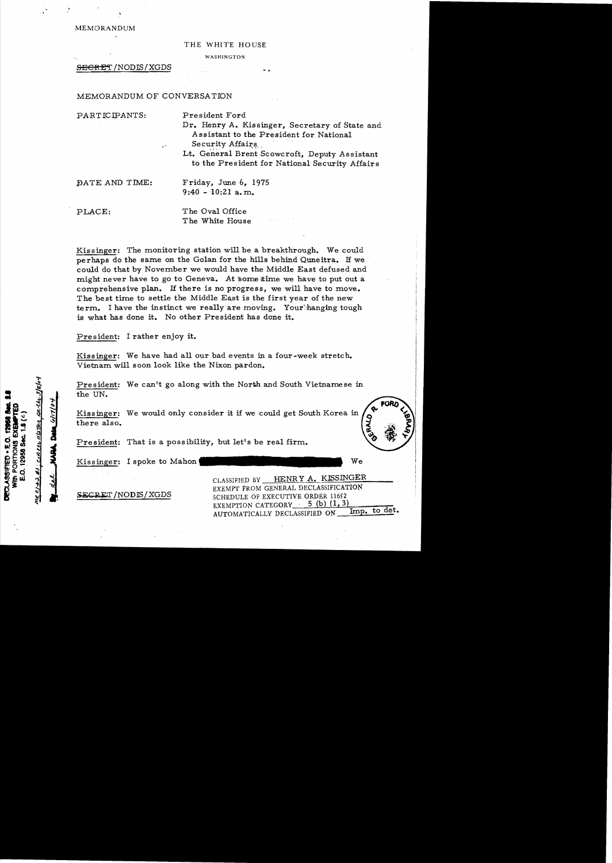MEMORANDUM

#### THE WHITE HOUSE

WASHINGTON

SEGRET / NODIS / XGDS

MEMORANDUM OF CONVERSA TION

| PARTICIPANTS:<br>$\rightarrow$ | President Ford<br>Dr. Henry A. Kissinger, Secretary of State and<br>Assistant to the President for National<br>Security Affairs<br>Lt. General Brent Scowcroft, Deputy Assistant<br>to the President for National Security Affairs |
|--------------------------------|------------------------------------------------------------------------------------------------------------------------------------------------------------------------------------------------------------------------------------|
| DATE AND TIME:                 | Friday, June 6, 1975<br>$9:40 - 10:21$ a.m.                                                                                                                                                                                        |
| PLACE:                         | The Oval Office<br>$\mathcal{L}^{\mathcal{L}}$ , we can be a set of<br>The White House                                                                                                                                             |

Kissinger: The monitoring station will be a breakthrough. We could perhaps do the same on the Golan for the hills behind Quneitra. If we could do that by November we would have the Middle East defused and might never have to go to Geneva. At some time we have to put out a comprehensive plan. If there is no progress, we will have to move. The best time to settle the Middle East is the first year of the new term. I have the instinct we really are moving. Your hanging tough is what has done it. No other President has done it.

President: I rather enjoy it.

Kissinger: We have had all our bad events in a four-week stretch. Vietnam will soon look like the Nixon pardon.

President: We can't go along with the North and South Vietnamese in the UN.

Kissinger: We would only consider it if we could get South Korea in there also.

President: That is a possibility, but let's be real firm.

Kissinger: I spoke to Mahon (Networks) and Mean We we have the space of  $\mathbb{R}$  we we have the set of  $\mathbb{R}$  we have the set of  $\mathbb{R}$  we have the set of  $\mathbb{R}$  we have the set of  $\mathbb{R}$  we have the set of  $\mathbb{R}$ 

CLASSIFIED BY HENRY A. KISSINGER EXEMPT FROM GENERAL DECLASSIFICATION **SECRET/NODIS/XGDS** SCHEDULE OF EXECUTIVE ORDER 11652 EXEMPTION CATEGORY . 5 (b) (1, 3)<br>AUTOMATICALLY DECLASSIFIED ON Imp. to det.

DECLASSIFIED . E.O. 12958 <u>UJ: CIALLY HISTIOZ</u> 12958 Sec. 1.5 PORTIONS EXE пì  $\frac{01+2}{2}$ 

3/8/04

Ж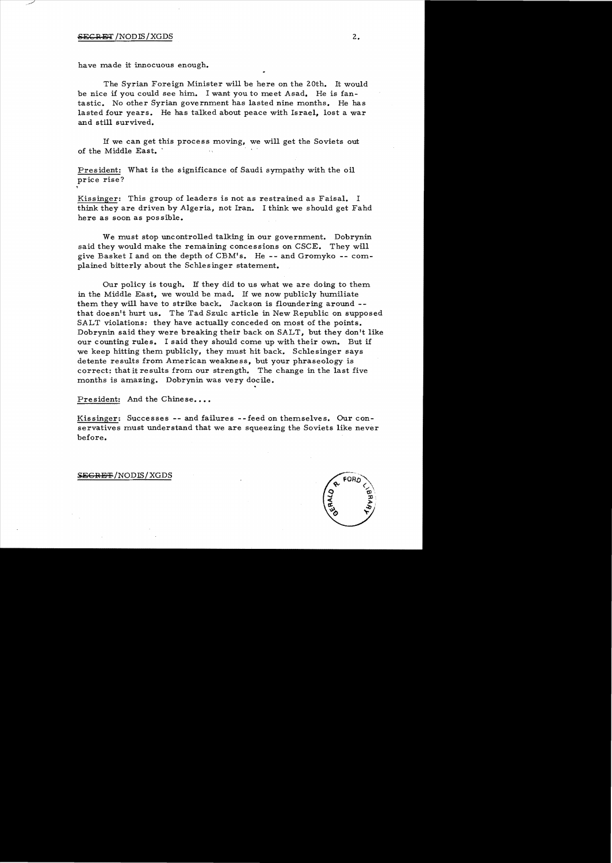#### SECRET /NODIS/XGDS 2.

have made it innocuous enough.

The Syrian Foreign Minister will be here on the 20th. It would be nice if you could see him. I want you to meet Asad. He is fantastic. No other Syrian government has lasted nine months. He has lasted four years. He has talked about peace with Israel, lost a war and still survived.

If we can get this process moving, we will get the Soviets out of the Middle East.

President: What is the significance of Saudi sympathy with the oil price rise?

Kissinger: This group of leaders is not as restrained as Faisal. I think they are driven by Algeria, not Iran. I think we should get Fahd here as soon as possible.

We must stop uncontrolled talking in our government. Dobrynin said they would make the remaining concessions on CSCE. They will give Basket I and on the depth of CBM's. He -- and Gromyko -- complained bitterly about the Schlesinger statement.

Our policy is tough. If they did to us what we are doing to them in the Middle East, we would be mad. If we now publicly humiliate them they will have to strike back. Jackson is floundering around that doesn't hurt us. The Tad Szulc article in New Republic on supposed SALT violations: they have actually conceded on most of the points. Dobrynin said they were breaking their back on SALT, but they don't like our counting rules. I said they should come up with their own. But if we keep hitting them publicly, they must hit back. Schlesinger says detente results from American weakness, but your phraseology is correct: thatit results from our strength. The change in the last five months is amazing. Dobrynin was very docile.

President: And the Chinese....

Kissinger: Successes -- and failures --feed on themselves. Our conservatives must understand that we are squeezing the Soviets like never before.

#### SEGRET/NODIS/XGDS

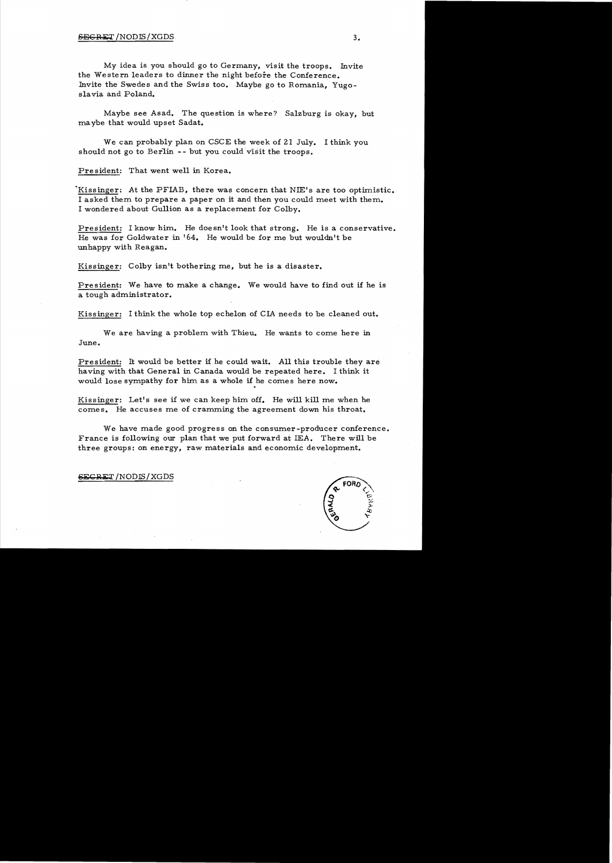#### $S$  begins the  $3.$   $3.$

My idea is you should go to Germany, visit the troops. Invite the Western leaders to dinner the night before the Conference. Invite the Swedes and the Swiss too. Maybe go to Romania, Yugoslavia and Poland.

Maybe see Asad. The question is where? Salzburg is okay, but maybe that would upset Sadat.

We can probably plan on CSCE the week of 21 July. I think you should not go to Berlin -- but you could visit the troops.

President: That went well in Korea.

'Kissinger: At the PFIAB, there was concern that NIE's are too optimistic. I asked them to prepare a paper on it and then you could meet with them. I wondered about Gullion as a replacement for Colby.

President: I know him. He doesn't look that strong. He is a conservative. He was for Goldwater in '64. He would be for me but wouldn't be unhappy with Reagan.

Kissinger: Colby isn't bothering me, but he is a disaster.

President: We have to make a change. We would have to find out if he is a tough administrator.

Kissinger: I think the whole top echelon of CIA needs to be cleaned out.

We are having a problem with Thieu. He wants to come here in June.

President: It would be better if he could wait. All this trouble they are having with that General in Canada would be repeated here. I think it would lose sympathy for him as a whole if he comes here now• .

Kissinger: Let's see if we can keep him off. He will kill me when he comes. He accuses me of cramming the agreement down his throat.

We have made good progress on the consumer-producer conference. France is following our plan that we put forward at IEA. There will be three groups: on energy, raw materials and economic development.

#### $SECRET/NODIS/XGDS$

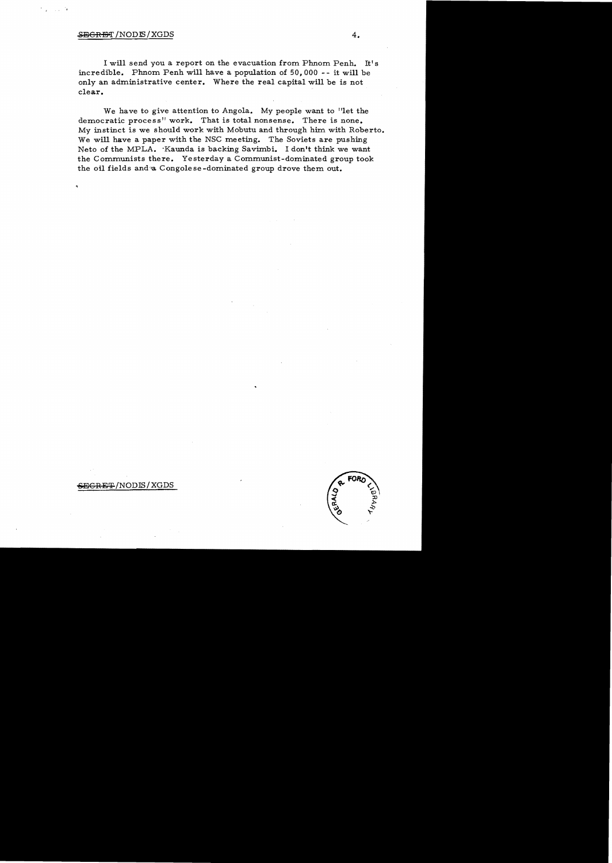#### $\overline{\text{SEGRBF}}$  /NODIS/XGDS  $4.$

 $\sim 10$ 

I will send you a report on the evacuation from Phnom Penh. It's incredible. Phnom Penh will have a population of 50,000 - - it will be only an administrative center. Where the real capital will be is not clear.

We have to give attention to Angola. My people want to "let the democratic process" work. That is total nonsense. There is none. My instinct is we should work with Mobutu and through him. with Roberto. We will have a paper with the NSC meeting. The Soviets are pushing Neto of the MPLA. 'Kaunda is backing Savirnbi. I don't think we want the Communists there. Yesterday a Communist-dominated group took the oil fields and a Congole se-dominated group drove them out.

### SECRET /NODIS/XGDS